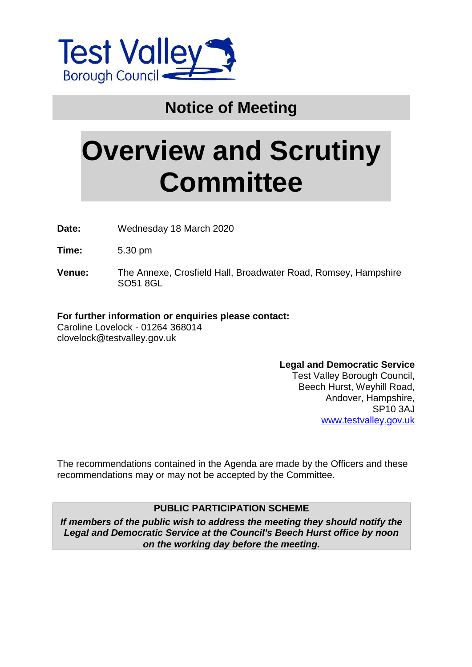

# **Notice of Meeting**

# **Overview and Scrutiny Committee**

**Date:** Wednesday 18 March 2020

**Time:** 5.30 pm

**Venue:** The Annexe, Crosfield Hall, Broadwater Road, Romsey, Hampshire SO51 8GL

### **For further information or enquiries please contact:**

Caroline Lovelock - 01264 368014 clovelock@testvalley.gov.uk

### **Legal and Democratic Service**

Test Valley Borough Council, Beech Hurst, Weyhill Road, Andover, Hampshire, SP10 3AJ [www.testvalley.gov.uk](http://www.testvalley.gov.uk/)

The recommendations contained in the Agenda are made by the Officers and these recommendations may or may not be accepted by the Committee.

### **PUBLIC PARTICIPATION SCHEME**

*If members of the public wish to address the meeting they should notify the Legal and Democratic Service at the Council's Beech Hurst office by noon on the working day before the meeting.*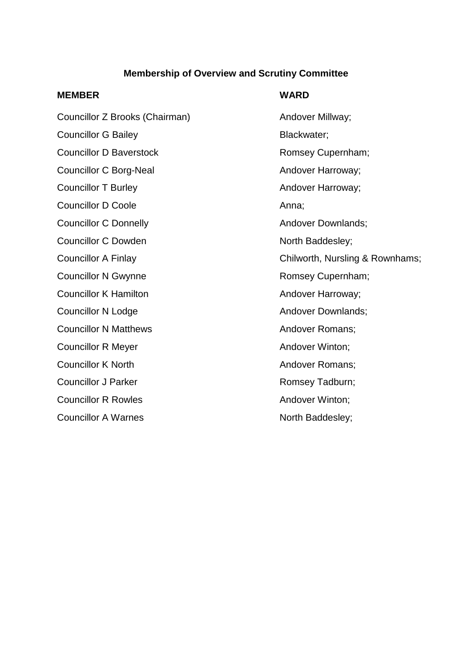### **Membership of Overview and Scrutiny Committee**

### **MEMBER WARD**

# Councillor Z Brooks (Chairman) Andover Millway; Councillor G Bailey **Blackwater**; Councillor D Baverstock **Romsey Cupernham**; Councillor C Borg-Neal Andover Harroway; Councillor T Burley **Andover Harroway**; Councillor D Coole **Anna**: Anna: Councillor C Donnelly **Andover Downlands:** Councillor C Dowden North Baddesley; Councillor N Gwynne **Romsey Cupernham**; Councillor K Hamilton **Andover Harroway**; Councillor N Lodge **Andover Downlands**; Councillor N Matthews **Andover Romans**; Councillor R Meyer **Andover Winton**; Councillor K North **Andover Romans**; Councillor J Parker **Romsey Tadburn**; Councillor R Rowles **Andover Winton**; Councillor A Warnes North Baddesley;

Councillor A Finlay Councillor A Finlay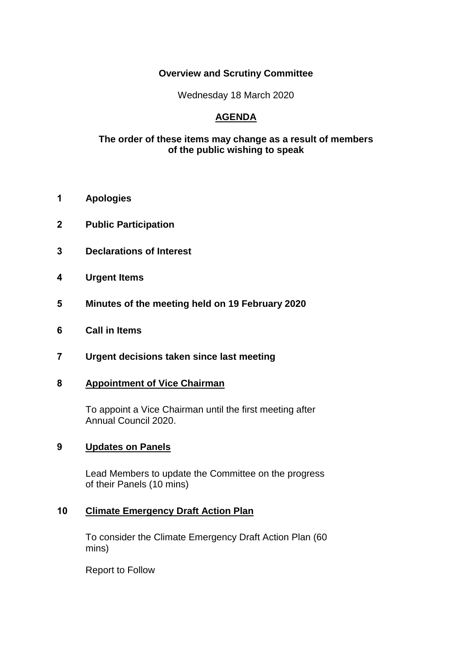### **Overview and Scrutiny Committee**

Wednesday 18 March 2020

### **AGENDA**

### **The order of these items may change as a result of members of the public wishing to speak**

- **1 Apologies**
- **2 Public Participation**
- **3 Declarations of Interest**
- **4 Urgent Items**
- **5 Minutes of the meeting held on 19 February 2020**
- **6 Call in Items**
- **7 Urgent decisions taken since last meeting**

### **8 Appointment of Vice Chairman**

To appoint a Vice Chairman until the first meeting after Annual Council 2020.

### **9 Updates on Panels**

Lead Members to update the Committee on the progress of their Panels (10 mins)

### **10 Climate Emergency Draft Action Plan**

To consider the Climate Emergency Draft Action Plan (60 mins)

Report to Follow